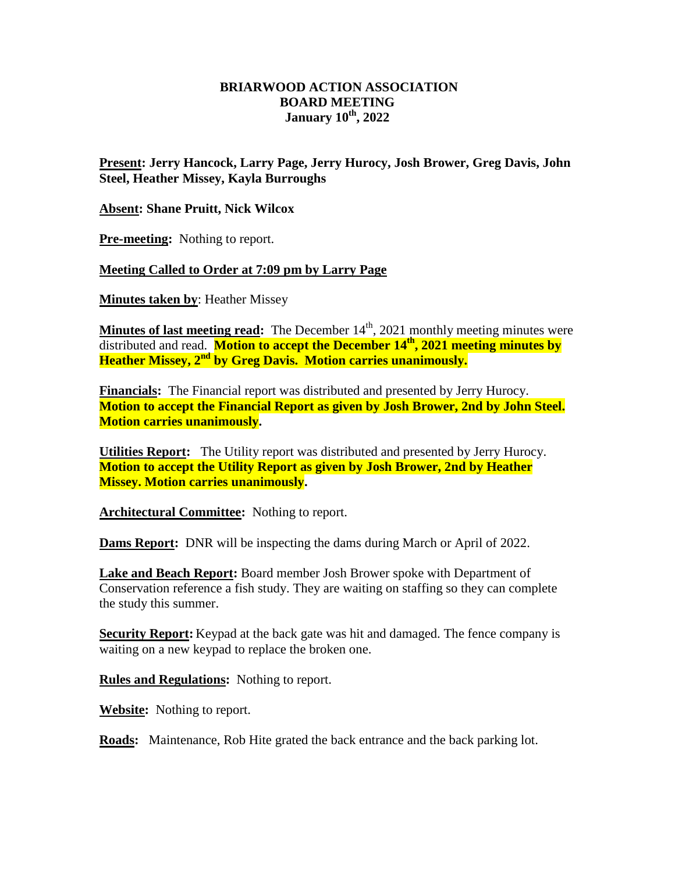## **BRIARWOOD ACTION ASSOCIATION BOARD MEETING January 10th, 2022**

**Present: Jerry Hancock, Larry Page, Jerry Hurocy, Josh Brower, Greg Davis, John Steel, Heather Missey, Kayla Burroughs**

**Absent: Shane Pruitt, Nick Wilcox**

**Pre-meeting:** Nothing to report.

**Meeting Called to Order at 7:09 pm by Larry Page**

**Minutes taken by**: Heather Missey

**Minutes of last meeting read:** The December 14<sup>th</sup>, 2021 monthly meeting minutes were distributed and read. **Motion to accept the December 14th, 2021 meeting minutes by Heather Missey, 2nd by Greg Davis. Motion carries unanimously.**

**Financials:** The Financial report was distributed and presented by Jerry Hurocy. **Motion to accept the Financial Report as given by Josh Brower, 2nd by John Steel. Motion carries unanimously.** 

**Utilities Report:** The Utility report was distributed and presented by Jerry Hurocy. **Motion to accept the Utility Report as given by Josh Brower, 2nd by Heather Missey. Motion carries unanimously.** 

Architectural Committee: Nothing to report.

**Dams Report:** DNR will be inspecting the dams during March or April of 2022.

**Lake and Beach Report:** Board member Josh Brower spoke with Department of Conservation reference a fish study. They are waiting on staffing so they can complete the study this summer.

**Security Report:** Keypad at the back gate was hit and damaged. The fence company is waiting on a new keypad to replace the broken one.

**Rules and Regulations:** Nothing to report.

**Website:** Nothing to report.

**Roads:** Maintenance, Rob Hite grated the back entrance and the back parking lot.